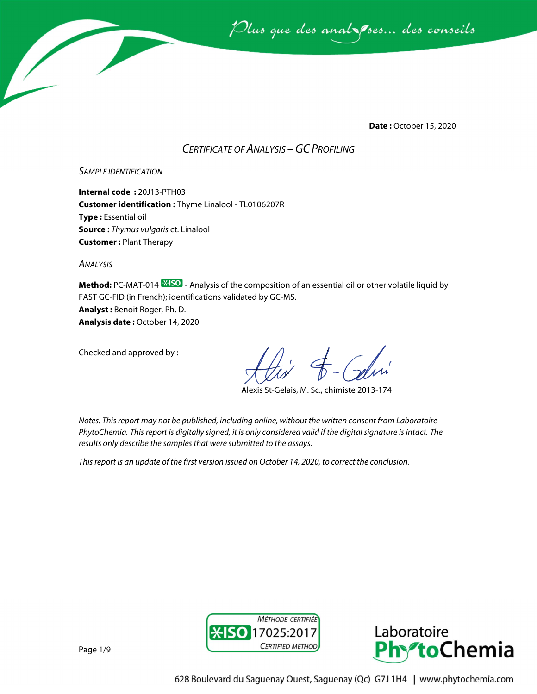

**Date :** October 15, 2020

# *CERTIFICATE OF ANALYSIS –GC PROFILING*

### *SAMPLE IDENTIFICATION*

**Internal code :** 20J13-PTH03 **Customer identification :** Thyme Linalool - TL0106207R **Type :** Essential oil **Source :** *Thymus vulgaris* ct. Linalool **Customer :** Plant Therapy

*ANALYSIS*

**Method:** PC-MAT-014  $\frac{1250}{12}$  - Analysis of the composition of an essential oil or other volatile liquid by FAST GC-FID (in French); identifications validated by GC-MS. **Analyst :** Benoit Roger, Ph. D.

**Analysis date :** October 14, 2020

Checked and approved by :

Alexis St-Gelais, M. Sc., chimiste 2013-174

*Notes: This report may not be published, including online, without the written consent from Laboratoire PhytoChemia. This report is digitally signed, it is only considered valid if the digital signature is intact. The results only describe the samples that were submitted to the assays.*

*This report is an update of the first version issued on October 14, 2020, to correct the conclusion.* 



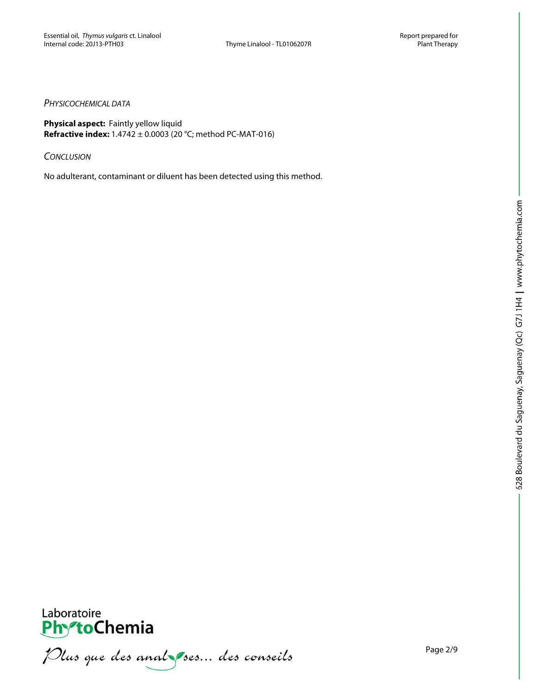## *PHYSICOCHEMICAL DATA*

**Physical aspect:** Faintly yellow liquid **Refractive index:** 1.4742 ± 0.0003 (20 °C; method PC-MAT-016)

*CONCLUSION*

No adulterant, contaminant or diluent has been detected using this method.



**PhytoChemia**<br>*PhytoChemia*<br>*Plus que des analyses... des conseils*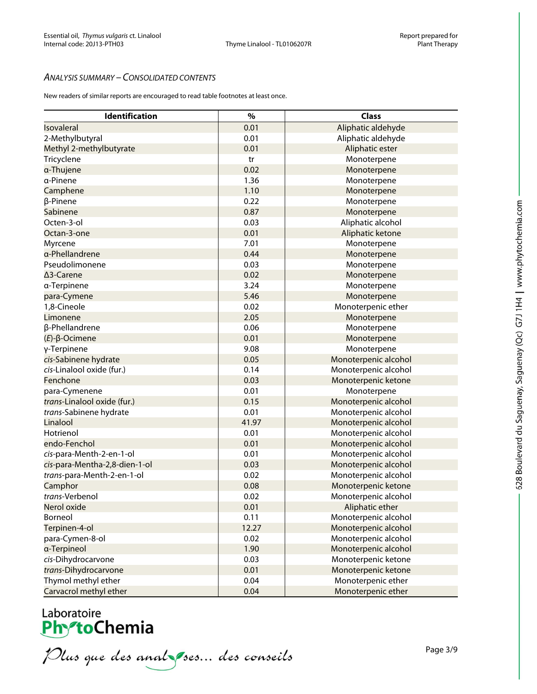## *ANALYSIS SUMMARY – CONSOLIDATED CONTENTS*

New readers of similar reports are encouraged to read table footnotes at least once.

| 0.01<br>Aliphatic aldehyde<br>Isovaleral<br>2-Methylbutyral<br>0.01<br>Aliphatic aldehyde<br>Methyl 2-methylbutyrate<br>0.01<br>Aliphatic ester<br>Tricyclene<br>Monoterpene<br>tr<br>a-Thujene<br>0.02<br>Monoterpene<br>1.36<br>a-Pinene<br>Monoterpene<br>1.10<br>Camphene<br>Monoterpene<br>0.22<br>β-Pinene<br>Monoterpene<br>Sabinene<br>0.87<br>Monoterpene<br>Octen-3-ol<br>0.03<br>Aliphatic alcohol<br>0.01<br>Aliphatic ketone<br>Octan-3-one<br>7.01<br>Myrcene<br>Monoterpene<br>a-Phellandrene<br>0.44<br>Monoterpene<br>Pseudolimonene<br>0.03<br>Monoterpene<br>0.02<br>∆3-Carene<br>Monoterpene<br>3.24<br>a-Terpinene<br>Monoterpene<br>5.46<br>Monoterpene<br>para-Cymene<br>1,8-Cineole<br>0.02<br>Monoterpenic ether<br>2.05<br>Limonene<br>Monoterpene<br>0.06<br>β-Phellandrene<br>Monoterpene<br>0.01<br>$(E)$ - $\beta$ -Ocimene<br>Monoterpene<br>9.08<br>γ-Terpinene<br>Monoterpene<br>0.05<br>cis-Sabinene hydrate<br>Monoterpenic alcohol<br>cis-Linalool oxide (fur.)<br>0.14<br>Monoterpenic alcohol<br>0.03<br>Fenchone<br>Monoterpenic ketone<br>0.01<br>para-Cymenene<br>Monoterpene<br>0.15<br>trans-Linalool oxide (fur.)<br>Monoterpenic alcohol<br>0.01<br>Monoterpenic alcohol<br>trans-Sabinene hydrate<br>41.97<br>Linalool<br>Monoterpenic alcohol<br>Hotrienol<br>0.01<br>Monoterpenic alcohol<br>0.01<br>endo-Fenchol<br>Monoterpenic alcohol<br>0.01<br>Monoterpenic alcohol<br>cis-para-Menth-2-en-1-ol<br>0.03<br>Monoterpenic alcohol<br>cis-para-Mentha-2,8-dien-1-ol<br>0.02<br>Monoterpenic alcohol<br>trans-para-Menth-2-en-1-ol<br>0.08<br>Monoterpenic ketone<br>Camphor<br>trans-Verbenol<br>0.02<br>Monoterpenic alcohol<br>Nerol oxide<br>0.01<br>Aliphatic ether<br>0.11<br>Monoterpenic alcohol<br>Borneol<br>12.27<br>Monoterpenic alcohol<br>Terpinen-4-ol<br>Monoterpenic alcohol<br>para-Cymen-8-ol<br>0.02<br>1.90<br>Monoterpenic alcohol<br>a-Terpineol<br>Monoterpenic ketone<br>cis-Dihydrocarvone<br>0.03<br>0.01<br>Monoterpenic ketone<br>trans-Dihydrocarvone<br>Thymol methyl ether<br>0.04<br>Monoterpenic ether | Identification         | $\%$ | <b>Class</b>       |
|--------------------------------------------------------------------------------------------------------------------------------------------------------------------------------------------------------------------------------------------------------------------------------------------------------------------------------------------------------------------------------------------------------------------------------------------------------------------------------------------------------------------------------------------------------------------------------------------------------------------------------------------------------------------------------------------------------------------------------------------------------------------------------------------------------------------------------------------------------------------------------------------------------------------------------------------------------------------------------------------------------------------------------------------------------------------------------------------------------------------------------------------------------------------------------------------------------------------------------------------------------------------------------------------------------------------------------------------------------------------------------------------------------------------------------------------------------------------------------------------------------------------------------------------------------------------------------------------------------------------------------------------------------------------------------------------------------------------------------------------------------------------------------------------------------------------------------------------------------------------------------------------------------------------------------------------------------------------------------------------------------------------------------------------------------------------------------------------|------------------------|------|--------------------|
|                                                                                                                                                                                                                                                                                                                                                                                                                                                                                                                                                                                                                                                                                                                                                                                                                                                                                                                                                                                                                                                                                                                                                                                                                                                                                                                                                                                                                                                                                                                                                                                                                                                                                                                                                                                                                                                                                                                                                                                                                                                                                            |                        |      |                    |
|                                                                                                                                                                                                                                                                                                                                                                                                                                                                                                                                                                                                                                                                                                                                                                                                                                                                                                                                                                                                                                                                                                                                                                                                                                                                                                                                                                                                                                                                                                                                                                                                                                                                                                                                                                                                                                                                                                                                                                                                                                                                                            |                        |      |                    |
|                                                                                                                                                                                                                                                                                                                                                                                                                                                                                                                                                                                                                                                                                                                                                                                                                                                                                                                                                                                                                                                                                                                                                                                                                                                                                                                                                                                                                                                                                                                                                                                                                                                                                                                                                                                                                                                                                                                                                                                                                                                                                            |                        |      |                    |
|                                                                                                                                                                                                                                                                                                                                                                                                                                                                                                                                                                                                                                                                                                                                                                                                                                                                                                                                                                                                                                                                                                                                                                                                                                                                                                                                                                                                                                                                                                                                                                                                                                                                                                                                                                                                                                                                                                                                                                                                                                                                                            |                        |      |                    |
|                                                                                                                                                                                                                                                                                                                                                                                                                                                                                                                                                                                                                                                                                                                                                                                                                                                                                                                                                                                                                                                                                                                                                                                                                                                                                                                                                                                                                                                                                                                                                                                                                                                                                                                                                                                                                                                                                                                                                                                                                                                                                            |                        |      |                    |
|                                                                                                                                                                                                                                                                                                                                                                                                                                                                                                                                                                                                                                                                                                                                                                                                                                                                                                                                                                                                                                                                                                                                                                                                                                                                                                                                                                                                                                                                                                                                                                                                                                                                                                                                                                                                                                                                                                                                                                                                                                                                                            |                        |      |                    |
|                                                                                                                                                                                                                                                                                                                                                                                                                                                                                                                                                                                                                                                                                                                                                                                                                                                                                                                                                                                                                                                                                                                                                                                                                                                                                                                                                                                                                                                                                                                                                                                                                                                                                                                                                                                                                                                                                                                                                                                                                                                                                            |                        |      |                    |
|                                                                                                                                                                                                                                                                                                                                                                                                                                                                                                                                                                                                                                                                                                                                                                                                                                                                                                                                                                                                                                                                                                                                                                                                                                                                                                                                                                                                                                                                                                                                                                                                                                                                                                                                                                                                                                                                                                                                                                                                                                                                                            |                        |      |                    |
|                                                                                                                                                                                                                                                                                                                                                                                                                                                                                                                                                                                                                                                                                                                                                                                                                                                                                                                                                                                                                                                                                                                                                                                                                                                                                                                                                                                                                                                                                                                                                                                                                                                                                                                                                                                                                                                                                                                                                                                                                                                                                            |                        |      |                    |
|                                                                                                                                                                                                                                                                                                                                                                                                                                                                                                                                                                                                                                                                                                                                                                                                                                                                                                                                                                                                                                                                                                                                                                                                                                                                                                                                                                                                                                                                                                                                                                                                                                                                                                                                                                                                                                                                                                                                                                                                                                                                                            |                        |      |                    |
|                                                                                                                                                                                                                                                                                                                                                                                                                                                                                                                                                                                                                                                                                                                                                                                                                                                                                                                                                                                                                                                                                                                                                                                                                                                                                                                                                                                                                                                                                                                                                                                                                                                                                                                                                                                                                                                                                                                                                                                                                                                                                            |                        |      |                    |
|                                                                                                                                                                                                                                                                                                                                                                                                                                                                                                                                                                                                                                                                                                                                                                                                                                                                                                                                                                                                                                                                                                                                                                                                                                                                                                                                                                                                                                                                                                                                                                                                                                                                                                                                                                                                                                                                                                                                                                                                                                                                                            |                        |      |                    |
|                                                                                                                                                                                                                                                                                                                                                                                                                                                                                                                                                                                                                                                                                                                                                                                                                                                                                                                                                                                                                                                                                                                                                                                                                                                                                                                                                                                                                                                                                                                                                                                                                                                                                                                                                                                                                                                                                                                                                                                                                                                                                            |                        |      |                    |
|                                                                                                                                                                                                                                                                                                                                                                                                                                                                                                                                                                                                                                                                                                                                                                                                                                                                                                                                                                                                                                                                                                                                                                                                                                                                                                                                                                                                                                                                                                                                                                                                                                                                                                                                                                                                                                                                                                                                                                                                                                                                                            |                        |      |                    |
|                                                                                                                                                                                                                                                                                                                                                                                                                                                                                                                                                                                                                                                                                                                                                                                                                                                                                                                                                                                                                                                                                                                                                                                                                                                                                                                                                                                                                                                                                                                                                                                                                                                                                                                                                                                                                                                                                                                                                                                                                                                                                            |                        |      |                    |
|                                                                                                                                                                                                                                                                                                                                                                                                                                                                                                                                                                                                                                                                                                                                                                                                                                                                                                                                                                                                                                                                                                                                                                                                                                                                                                                                                                                                                                                                                                                                                                                                                                                                                                                                                                                                                                                                                                                                                                                                                                                                                            |                        |      |                    |
|                                                                                                                                                                                                                                                                                                                                                                                                                                                                                                                                                                                                                                                                                                                                                                                                                                                                                                                                                                                                                                                                                                                                                                                                                                                                                                                                                                                                                                                                                                                                                                                                                                                                                                                                                                                                                                                                                                                                                                                                                                                                                            |                        |      |                    |
|                                                                                                                                                                                                                                                                                                                                                                                                                                                                                                                                                                                                                                                                                                                                                                                                                                                                                                                                                                                                                                                                                                                                                                                                                                                                                                                                                                                                                                                                                                                                                                                                                                                                                                                                                                                                                                                                                                                                                                                                                                                                                            |                        |      |                    |
|                                                                                                                                                                                                                                                                                                                                                                                                                                                                                                                                                                                                                                                                                                                                                                                                                                                                                                                                                                                                                                                                                                                                                                                                                                                                                                                                                                                                                                                                                                                                                                                                                                                                                                                                                                                                                                                                                                                                                                                                                                                                                            |                        |      |                    |
|                                                                                                                                                                                                                                                                                                                                                                                                                                                                                                                                                                                                                                                                                                                                                                                                                                                                                                                                                                                                                                                                                                                                                                                                                                                                                                                                                                                                                                                                                                                                                                                                                                                                                                                                                                                                                                                                                                                                                                                                                                                                                            |                        |      |                    |
|                                                                                                                                                                                                                                                                                                                                                                                                                                                                                                                                                                                                                                                                                                                                                                                                                                                                                                                                                                                                                                                                                                                                                                                                                                                                                                                                                                                                                                                                                                                                                                                                                                                                                                                                                                                                                                                                                                                                                                                                                                                                                            |                        |      |                    |
|                                                                                                                                                                                                                                                                                                                                                                                                                                                                                                                                                                                                                                                                                                                                                                                                                                                                                                                                                                                                                                                                                                                                                                                                                                                                                                                                                                                                                                                                                                                                                                                                                                                                                                                                                                                                                                                                                                                                                                                                                                                                                            |                        |      |                    |
|                                                                                                                                                                                                                                                                                                                                                                                                                                                                                                                                                                                                                                                                                                                                                                                                                                                                                                                                                                                                                                                                                                                                                                                                                                                                                                                                                                                                                                                                                                                                                                                                                                                                                                                                                                                                                                                                                                                                                                                                                                                                                            |                        |      |                    |
|                                                                                                                                                                                                                                                                                                                                                                                                                                                                                                                                                                                                                                                                                                                                                                                                                                                                                                                                                                                                                                                                                                                                                                                                                                                                                                                                                                                                                                                                                                                                                                                                                                                                                                                                                                                                                                                                                                                                                                                                                                                                                            |                        |      |                    |
|                                                                                                                                                                                                                                                                                                                                                                                                                                                                                                                                                                                                                                                                                                                                                                                                                                                                                                                                                                                                                                                                                                                                                                                                                                                                                                                                                                                                                                                                                                                                                                                                                                                                                                                                                                                                                                                                                                                                                                                                                                                                                            |                        |      |                    |
|                                                                                                                                                                                                                                                                                                                                                                                                                                                                                                                                                                                                                                                                                                                                                                                                                                                                                                                                                                                                                                                                                                                                                                                                                                                                                                                                                                                                                                                                                                                                                                                                                                                                                                                                                                                                                                                                                                                                                                                                                                                                                            |                        |      |                    |
|                                                                                                                                                                                                                                                                                                                                                                                                                                                                                                                                                                                                                                                                                                                                                                                                                                                                                                                                                                                                                                                                                                                                                                                                                                                                                                                                                                                                                                                                                                                                                                                                                                                                                                                                                                                                                                                                                                                                                                                                                                                                                            |                        |      |                    |
|                                                                                                                                                                                                                                                                                                                                                                                                                                                                                                                                                                                                                                                                                                                                                                                                                                                                                                                                                                                                                                                                                                                                                                                                                                                                                                                                                                                                                                                                                                                                                                                                                                                                                                                                                                                                                                                                                                                                                                                                                                                                                            |                        |      |                    |
|                                                                                                                                                                                                                                                                                                                                                                                                                                                                                                                                                                                                                                                                                                                                                                                                                                                                                                                                                                                                                                                                                                                                                                                                                                                                                                                                                                                                                                                                                                                                                                                                                                                                                                                                                                                                                                                                                                                                                                                                                                                                                            |                        |      |                    |
|                                                                                                                                                                                                                                                                                                                                                                                                                                                                                                                                                                                                                                                                                                                                                                                                                                                                                                                                                                                                                                                                                                                                                                                                                                                                                                                                                                                                                                                                                                                                                                                                                                                                                                                                                                                                                                                                                                                                                                                                                                                                                            |                        |      |                    |
|                                                                                                                                                                                                                                                                                                                                                                                                                                                                                                                                                                                                                                                                                                                                                                                                                                                                                                                                                                                                                                                                                                                                                                                                                                                                                                                                                                                                                                                                                                                                                                                                                                                                                                                                                                                                                                                                                                                                                                                                                                                                                            |                        |      |                    |
|                                                                                                                                                                                                                                                                                                                                                                                                                                                                                                                                                                                                                                                                                                                                                                                                                                                                                                                                                                                                                                                                                                                                                                                                                                                                                                                                                                                                                                                                                                                                                                                                                                                                                                                                                                                                                                                                                                                                                                                                                                                                                            |                        |      |                    |
|                                                                                                                                                                                                                                                                                                                                                                                                                                                                                                                                                                                                                                                                                                                                                                                                                                                                                                                                                                                                                                                                                                                                                                                                                                                                                                                                                                                                                                                                                                                                                                                                                                                                                                                                                                                                                                                                                                                                                                                                                                                                                            |                        |      |                    |
|                                                                                                                                                                                                                                                                                                                                                                                                                                                                                                                                                                                                                                                                                                                                                                                                                                                                                                                                                                                                                                                                                                                                                                                                                                                                                                                                                                                                                                                                                                                                                                                                                                                                                                                                                                                                                                                                                                                                                                                                                                                                                            |                        |      |                    |
|                                                                                                                                                                                                                                                                                                                                                                                                                                                                                                                                                                                                                                                                                                                                                                                                                                                                                                                                                                                                                                                                                                                                                                                                                                                                                                                                                                                                                                                                                                                                                                                                                                                                                                                                                                                                                                                                                                                                                                                                                                                                                            |                        |      |                    |
|                                                                                                                                                                                                                                                                                                                                                                                                                                                                                                                                                                                                                                                                                                                                                                                                                                                                                                                                                                                                                                                                                                                                                                                                                                                                                                                                                                                                                                                                                                                                                                                                                                                                                                                                                                                                                                                                                                                                                                                                                                                                                            |                        |      |                    |
|                                                                                                                                                                                                                                                                                                                                                                                                                                                                                                                                                                                                                                                                                                                                                                                                                                                                                                                                                                                                                                                                                                                                                                                                                                                                                                                                                                                                                                                                                                                                                                                                                                                                                                                                                                                                                                                                                                                                                                                                                                                                                            |                        |      |                    |
|                                                                                                                                                                                                                                                                                                                                                                                                                                                                                                                                                                                                                                                                                                                                                                                                                                                                                                                                                                                                                                                                                                                                                                                                                                                                                                                                                                                                                                                                                                                                                                                                                                                                                                                                                                                                                                                                                                                                                                                                                                                                                            |                        |      |                    |
|                                                                                                                                                                                                                                                                                                                                                                                                                                                                                                                                                                                                                                                                                                                                                                                                                                                                                                                                                                                                                                                                                                                                                                                                                                                                                                                                                                                                                                                                                                                                                                                                                                                                                                                                                                                                                                                                                                                                                                                                                                                                                            |                        |      |                    |
|                                                                                                                                                                                                                                                                                                                                                                                                                                                                                                                                                                                                                                                                                                                                                                                                                                                                                                                                                                                                                                                                                                                                                                                                                                                                                                                                                                                                                                                                                                                                                                                                                                                                                                                                                                                                                                                                                                                                                                                                                                                                                            |                        |      |                    |
|                                                                                                                                                                                                                                                                                                                                                                                                                                                                                                                                                                                                                                                                                                                                                                                                                                                                                                                                                                                                                                                                                                                                                                                                                                                                                                                                                                                                                                                                                                                                                                                                                                                                                                                                                                                                                                                                                                                                                                                                                                                                                            |                        |      |                    |
|                                                                                                                                                                                                                                                                                                                                                                                                                                                                                                                                                                                                                                                                                                                                                                                                                                                                                                                                                                                                                                                                                                                                                                                                                                                                                                                                                                                                                                                                                                                                                                                                                                                                                                                                                                                                                                                                                                                                                                                                                                                                                            |                        |      |                    |
|                                                                                                                                                                                                                                                                                                                                                                                                                                                                                                                                                                                                                                                                                                                                                                                                                                                                                                                                                                                                                                                                                                                                                                                                                                                                                                                                                                                                                                                                                                                                                                                                                                                                                                                                                                                                                                                                                                                                                                                                                                                                                            |                        |      |                    |
|                                                                                                                                                                                                                                                                                                                                                                                                                                                                                                                                                                                                                                                                                                                                                                                                                                                                                                                                                                                                                                                                                                                                                                                                                                                                                                                                                                                                                                                                                                                                                                                                                                                                                                                                                                                                                                                                                                                                                                                                                                                                                            |                        |      |                    |
|                                                                                                                                                                                                                                                                                                                                                                                                                                                                                                                                                                                                                                                                                                                                                                                                                                                                                                                                                                                                                                                                                                                                                                                                                                                                                                                                                                                                                                                                                                                                                                                                                                                                                                                                                                                                                                                                                                                                                                                                                                                                                            | Carvacrol methyl ether | 0.04 | Monoterpenic ether |

Laboratoire<br>PhytoChemia<br>*Plus que des analyses*... *des conseils*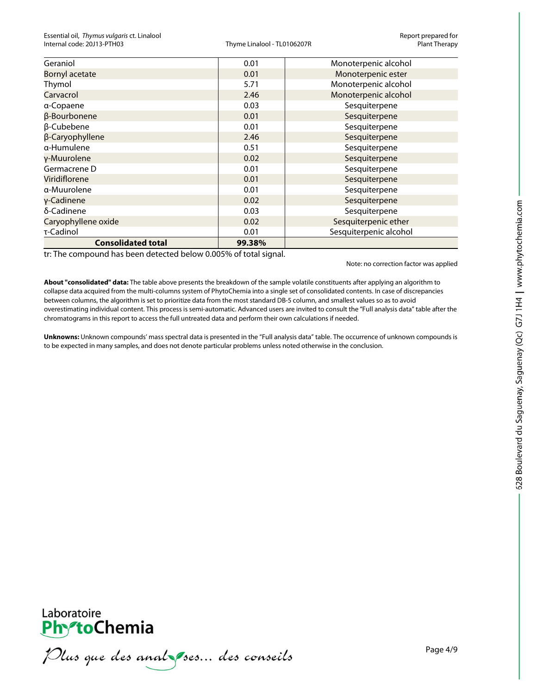| Geraniol                  | 0.01   | Monoterpenic alcohol   |  |  |
|---------------------------|--------|------------------------|--|--|
| <b>Bornyl acetate</b>     | 0.01   | Monoterpenic ester     |  |  |
| Thymol                    | 5.71   | Monoterpenic alcohol   |  |  |
| Carvacrol                 | 2.46   | Monoterpenic alcohol   |  |  |
| a-Copaene                 | 0.03   | Sesquiterpene          |  |  |
| β-Bourbonene              | 0.01   | Sesquiterpene          |  |  |
| β-Cubebene                | 0.01   | Sesquiterpene          |  |  |
| β-Caryophyllene           | 2.46   | Sesquiterpene          |  |  |
| α-Humulene                | 0.51   | Sesquiterpene          |  |  |
| y-Muurolene               | 0.02   | Sesquiterpene          |  |  |
| Germacrene D              | 0.01   | Sesquiterpene          |  |  |
| Viridiflorene             | 0.01   | Sesquiterpene          |  |  |
| a-Muurolene               | 0.01   | Sesquiterpene          |  |  |
| γ-Cadinene                | 0.02   | Sesquiterpene          |  |  |
| δ-Cadinene                | 0.03   | Sesquiterpene          |  |  |
| Caryophyllene oxide       | 0.02   | Sesquiterpenic ether   |  |  |
| τ-Cadinol                 | 0.01   | Sesquiterpenic alcohol |  |  |
| <b>Consolidated total</b> | 99.38% |                        |  |  |

tr: The compound has been detected below 0.005% of total signal.

Note: no correction factor was applied

**About "consolidated" data:** The table above presents the breakdown of the sample volatile constituents after applying an algorithm to collapse data acquired from the multi-columns system of PhytoChemia into a single set of consolidated contents. In case of discrepancies between columns, the algorithm is set to prioritize data from the most standard DB-5 column, and smallest values so as to avoid overestimating individual content. This process is semi-automatic. Advanced users are invited to consult the "Full analysis data" table after the chromatograms in this report to access the full untreated data and perform their own calculations if needed.

**Unknowns:** Unknown compounds' mass spectral data is presented in the "Full analysis data" table. The occurrence of unknown compounds is to be expected in many samples, and does not denote particular problems unless noted otherwise in the conclusion.

: Dus que des analyses... des conseils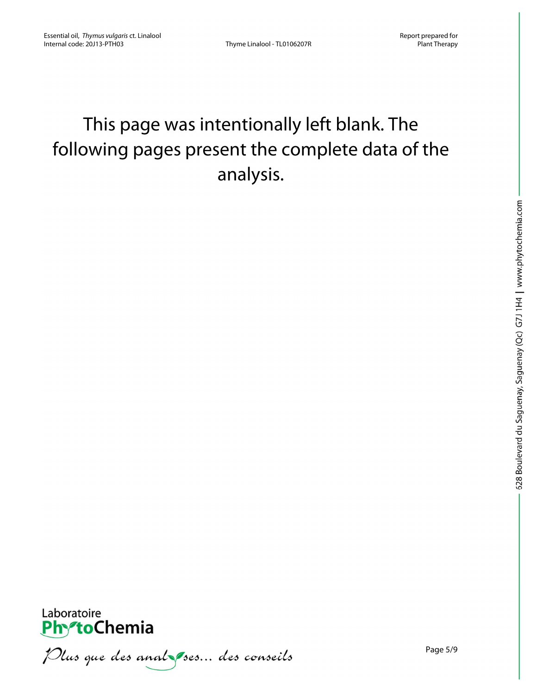# This page was intentionally left blank. The following pages present the complete data of the analysis.



Plus que des analzes... des conseils

Page 5/9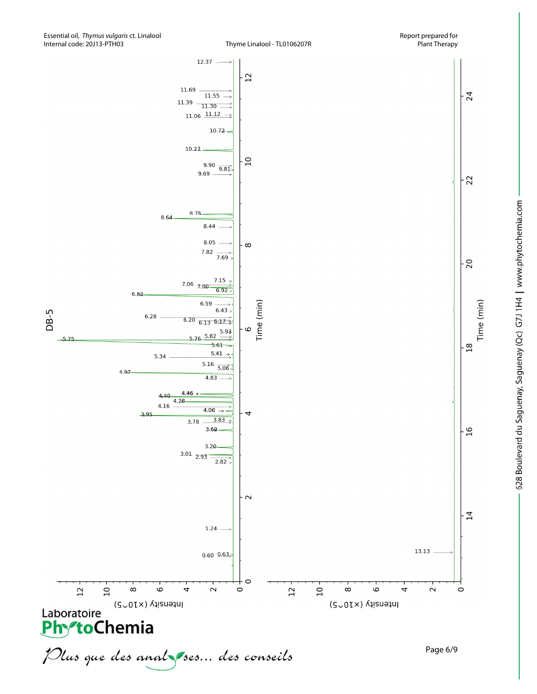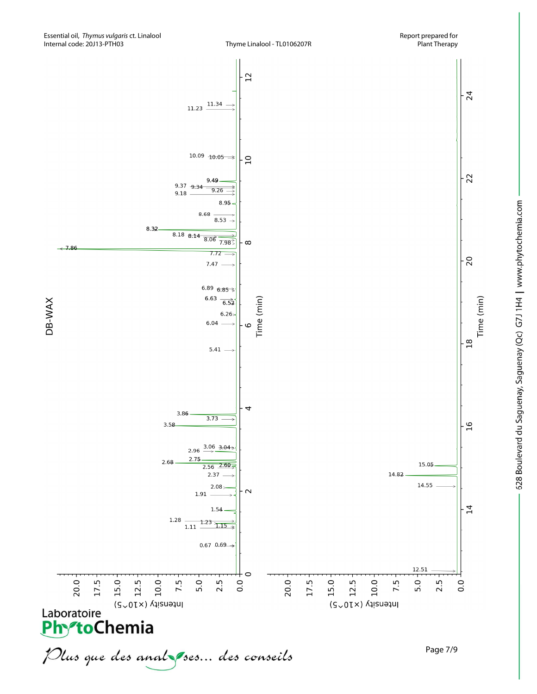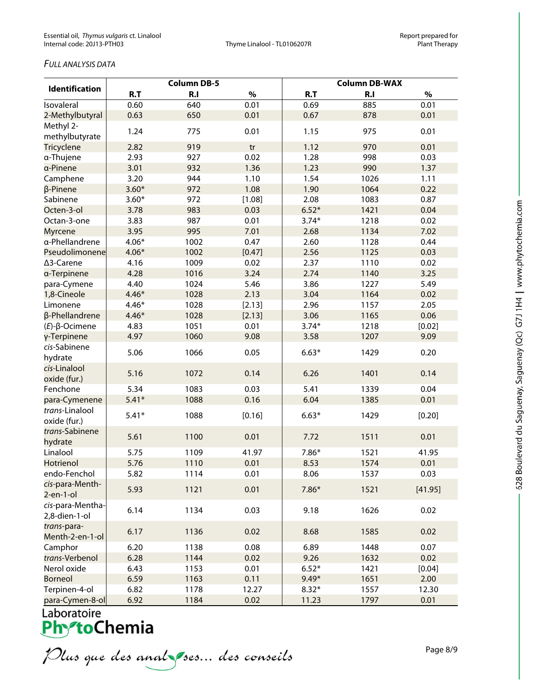## *FULL ANALYSIS DATA*

| <b>Identification</b>             |         | <b>Column DB-5</b> |        | <b>Column DB-WAX</b> |                |         |  |
|-----------------------------------|---------|--------------------|--------|----------------------|----------------|---------|--|
|                                   | R.T     | R.I                | $\%$   | R.T                  | R <sub>1</sub> | $\%$    |  |
| Isovaleral                        | 0.60    | 640                | 0.01   | 0.69                 | 885            | 0.01    |  |
| 2-Methylbutyral                   | 0.63    | 650                | 0.01   | 0.67                 | 878            | 0.01    |  |
| Methyl 2-<br>methylbutyrate       | 1.24    | 775                | 0.01   | 1.15                 | 975            | 0.01    |  |
| Tricyclene                        | 2.82    | 919                | tr     | 1.12                 | 970            | 0.01    |  |
| a-Thujene                         | 2.93    | 927                | 0.02   | 1.28                 | 998            | 0.03    |  |
| a-Pinene                          | 3.01    | 932                | 1.36   | 1.23                 | 990            | 1.37    |  |
| Camphene                          | 3.20    | 944                | 1.10   | 1.54                 | 1026           | 1.11    |  |
| β-Pinene                          | $3.60*$ | 972                | 1.08   | 1.90                 | 1064           | 0.22    |  |
| Sabinene                          | $3.60*$ | 972                | [1.08] | 2.08                 | 1083           | 0.87    |  |
| Octen-3-ol                        | 3.78    | 983                | 0.03   | $6.52*$              | 1421           | 0.04    |  |
| Octan-3-one                       | 3.83    | 987                | 0.01   | $3.74*$              | 1218           | 0.02    |  |
| <b>Myrcene</b>                    | 3.95    | 995                | 7.01   | 2.68                 | 1134           | 7.02    |  |
| a-Phellandrene                    | $4.06*$ | 1002               | 0.47   | 2.60                 | 1128           | 0.44    |  |
| Pseudolimonene                    | $4.06*$ | 1002               | [0.47] | 2.56                 | 1125           | 0.03    |  |
| ∆3-Carene                         | 4.16    | 1009               | 0.02   | 2.37                 | 1110           | 0.02    |  |
| a-Terpinene                       | 4.28    | 1016               | 3.24   | 2.74                 | 1140           | 3.25    |  |
| para-Cymene                       | 4.40    | 1024               | 5.46   | 3.86                 | 1227           | 5.49    |  |
| 1,8-Cineole                       | $4.46*$ | 1028               | 2.13   | 3.04                 | 1164           | 0.02    |  |
| Limonene                          | $4.46*$ | 1028               | [2.13] | 2.96                 | 1157           | 2.05    |  |
| β-Phellandrene                    | $4.46*$ | 1028               | [2.13] | 3.06                 | 1165           | 0.06    |  |
| $(E)$ -β-Ocimene                  | 4.83    | 1051               | 0.01   | $3.74*$              | 1218           | [0.02]  |  |
| γ-Terpinene                       | 4.97    | 1060               | 9.08   | 3.58                 | 1207           | 9.09    |  |
| cis-Sabinene<br>hydrate           | 5.06    | 1066               | 0.05   | $6.63*$              | 1429           | 0.20    |  |
| cis-Linalool<br>oxide (fur.)      | 5.16    | 1072               | 0.14   | 6.26                 | 1401           | 0.14    |  |
| Fenchone                          | 5.34    | 1083               | 0.03   | 5.41                 | 1339           | 0.04    |  |
| para-Cymenene                     | $5.41*$ | 1088               | 0.16   | 6.04                 | 1385           | 0.01    |  |
| trans-Linalool<br>oxide (fur.)    | $5.41*$ | 1088               | [0.16] | $6.63*$              | 1429           | [0.20]  |  |
| trans-Sabinene<br>hydrate         | 5.61    | 1100               | 0.01   | 7.72                 | 1511           | 0.01    |  |
| Linalool                          | 5.75    | 1109               | 41.97  | $7.86*$              | 1521           | 41.95   |  |
| Hotrienol                         | 5.76    | 1110               | 0.01   | 8.53                 | 1574           | 0.01    |  |
| endo-Fenchol                      | 5.82    | 1114               | 0.01   | 8.06                 | 1537           | 0.03    |  |
| cis-para-Menth-<br>$2$ -en-1-ol   | 5.93    | 1121               | 0.01   | $7.86*$              | 1521           | [41.95] |  |
| cis-para-Mentha-<br>2,8-dien-1-ol | 6.14    | 1134               | 0.03   | 9.18                 | 1626           | 0.02    |  |
| trans-para-<br>Menth-2-en-1-ol    | 6.17    | 1136               | 0.02   | 8.68                 | 1585           | 0.02    |  |
| Camphor                           | 6.20    | 1138               | 0.08   | 6.89                 | 1448           | 0.07    |  |
| trans-Verbenol                    | 6.28    | 1144               | 0.02   | 9.26                 | 1632           | 0.02    |  |
| Nerol oxide                       | 6.43    | 1153               | 0.01   | $6.52*$              | 1421           | [0.04]  |  |
| <b>Borneol</b>                    | 6.59    | 1163               | 0.11   | $9.49*$              | 1651           | 2.00    |  |
| Terpinen-4-ol                     | 6.82    | 1178               | 12.27  | $8.32*$              | 1557           | 12.30   |  |
| $n$ <sup>22</sup> -Cumen-8-0      | 602     | 118 <sub>A</sub>   | n no   | 11.22                | 1707           | 0.01    |  |

para-cymen-8-ol 6.92 1184 0.02 1<br>Laboratoire<br>**PhytoChemia**<br>*Plus que des analyses... des conseils*